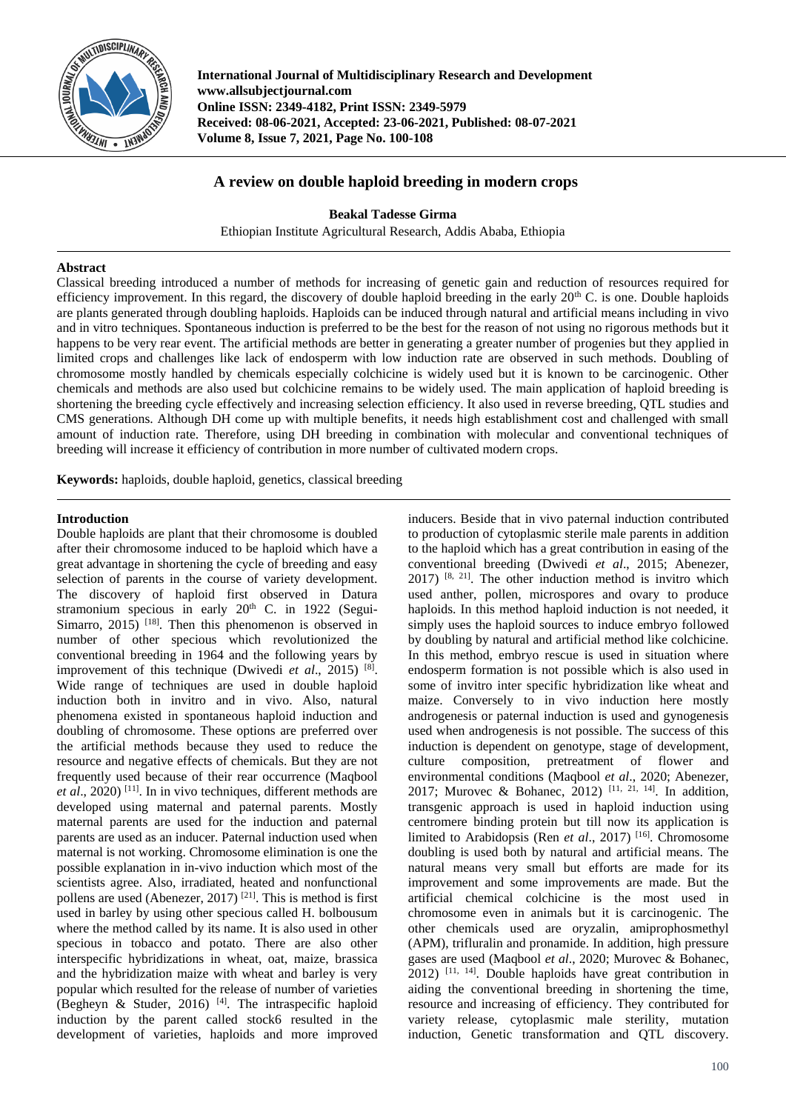

**International Journal of Multidisciplinary Research and Development www.allsubjectjournal.com Online ISSN: 2349-4182, Print ISSN: 2349-5979 Received: 08-06-2021, Accepted: 23-06-2021, Published: 08-07-2021 Volume 8, Issue 7, 2021, Page No. 100-108**

# **A review on double haploid breeding in modern crops**

**Beakal Tadesse Girma**

Ethiopian Institute Agricultural Research, Addis Ababa, Ethiopia

### **Abstract**

Classical breeding introduced a number of methods for increasing of genetic gain and reduction of resources required for efficiency improvement. In this regard, the discovery of double haploid breeding in the early  $20<sup>th</sup>$  C. is one. Double haploids are plants generated through doubling haploids. Haploids can be induced through natural and artificial means including in vivo and in vitro techniques. Spontaneous induction is preferred to be the best for the reason of not using no rigorous methods but it happens to be very rear event. The artificial methods are better in generating a greater number of progenies but they applied in limited crops and challenges like lack of endosperm with low induction rate are observed in such methods. Doubling of chromosome mostly handled by chemicals especially colchicine is widely used but it is known to be carcinogenic. Other chemicals and methods are also used but colchicine remains to be widely used. The main application of haploid breeding is shortening the breeding cycle effectively and increasing selection efficiency. It also used in reverse breeding, QTL studies and CMS generations. Although DH come up with multiple benefits, it needs high establishment cost and challenged with small amount of induction rate. Therefore, using DH breeding in combination with molecular and conventional techniques of breeding will increase it efficiency of contribution in more number of cultivated modern crops.

**Keywords:** haploids, double haploid, genetics, classical breeding

# **Introduction**

Double haploids are plant that their chromosome is doubled after their chromosome induced to be haploid which have a great advantage in shortening the cycle of breeding and easy selection of parents in the course of variety development. The discovery of haploid first observed in Datura stramonium specious in early 20<sup>th</sup> C. in 1922 (Segui-Simarro,  $2015$ ) <sup>[18]</sup>. Then this phenomenon is observed in number of other specious which revolutionized the conventional breeding in 1964 and the following years by improvement of this technique (Dwivedi *et al*., 2015) [8] . Wide range of techniques are used in double haploid induction both in invitro and in vivo. Also, natural phenomena existed in spontaneous haploid induction and doubling of chromosome. These options are preferred over the artificial methods because they used to reduce the resource and negative effects of chemicals. But they are not frequently used because of their rear occurrence (Maqbool et al., 2020)<sup>[11]</sup>. In in vivo techniques, different methods are developed using maternal and paternal parents. Mostly maternal parents are used for the induction and paternal parents are used as an inducer. Paternal induction used when maternal is not working. Chromosome elimination is one the possible explanation in in-vivo induction which most of the scientists agree. Also, irradiated, heated and nonfunctional pollens are used (Abenezer, 2017)<sup>[21]</sup>. This is method is first used in barley by using other specious called H. bolbousum where the method called by its name. It is also used in other specious in tobacco and potato. There are also other interspecific hybridizations in wheat, oat, maize, brassica and the hybridization maize with wheat and barley is very popular which resulted for the release of number of varieties (Begheyn & Studer, 2016)<sup>[4]</sup>. The intraspecific haploid induction by the parent called stock6 resulted in the development of varieties, haploids and more improved

inducers. Beside that in vivo paternal induction contributed to production of cytoplasmic sterile male parents in addition to the haploid which has a great contribution in easing of the conventional breeding (Dwivedi *et al*., 2015; Abenezer,  $2017$ ) <sup>[8, 21]</sup>. The other induction method is invitro which used anther, pollen, microspores and ovary to produce haploids. In this method haploid induction is not needed, it simply uses the haploid sources to induce embryo followed by doubling by natural and artificial method like colchicine. In this method, embryo rescue is used in situation where endosperm formation is not possible which is also used in some of invitro inter specific hybridization like wheat and maize. Conversely to in vivo induction here mostly androgenesis or paternal induction is used and gynogenesis used when androgenesis is not possible. The success of this induction is dependent on genotype, stage of development, culture composition, pretreatment of flower and environmental conditions (Maqbool *et al*., 2020; Abenezer, 2017; Murovec & Bohanec, 2012) [11, 21, 14]. In addition, transgenic approach is used in haploid induction using centromere binding protein but till now its application is limited to Arabidopsis (Ren *et al.*, 2017)<sup>[16]</sup>. Chromosome doubling is used both by natural and artificial means. The natural means very small but efforts are made for its improvement and some improvements are made. But the artificial chemical colchicine is the most used in chromosome even in animals but it is carcinogenic. The other chemicals used are oryzalin, amiprophosmethyl (APM), trifluralin and pronamide. In addition, high pressure gases are used (Maqbool *et al*., 2020; Murovec & Bohanec, 2012) [11, 14]. Double haploids have great contribution in aiding the conventional breeding in shortening the time, resource and increasing of efficiency. They contributed for variety release, cytoplasmic male sterility, mutation induction, Genetic transformation and QTL discovery.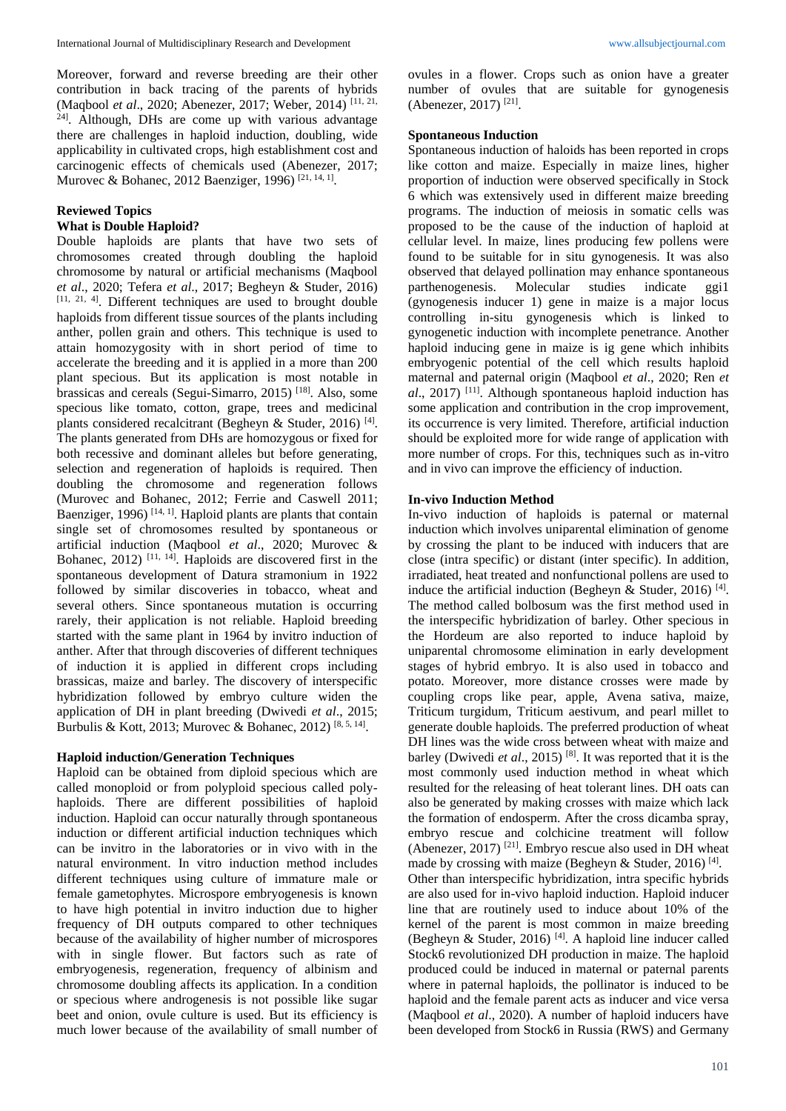Moreover, forward and reverse breeding are their other contribution in back tracing of the parents of hybrids (Maqbool *et al*., 2020; Abenezer, 2017; Weber, 2014) [11, 21, 24]. Although, DHs are come up with various advantage there are challenges in haploid induction, doubling, wide applicability in cultivated crops, high establishment cost and carcinogenic effects of chemicals used (Abenezer, 2017; Murovec & Bohanec, 2012 Baenziger, 1996)<sup>[21, 14, 1]</sup>.

### **Reviewed Topics**

## **What is Double Haploid?**

Double haploids are plants that have two sets of chromosomes created through doubling the haploid chromosome by natural or artificial mechanisms (Maqbool *et al*., 2020; Tefera *et al*., 2017; Begheyn & Studer, 2016) [11, 21, 4]. Different techniques are used to brought double haploids from different tissue sources of the plants including anther, pollen grain and others. This technique is used to attain homozygosity with in short period of time to accelerate the breeding and it is applied in a more than 200 plant specious. But its application is most notable in brassicas and cereals (Segui-Simarro, 2015) [18]. Also, some specious like tomato, cotton, grape, trees and medicinal plants considered recalcitrant (Begheyn & Studer, 2016)<sup>[4]</sup>. The plants generated from DHs are homozygous or fixed for both recessive and dominant alleles but before generating, selection and regeneration of haploids is required. Then doubling the chromosome and regeneration follows (Murovec and Bohanec, 2012; Ferrie and Caswell 2011; Baenziger, 1996)<sup>[14, 1]</sup>. Haploid plants are plants that contain single set of chromosomes resulted by spontaneous or artificial induction (Maqbool *et al*., 2020; Murovec & Bohanec,  $2012$ )<sup>[11, 14]</sup>. Haploids are discovered first in the spontaneous development of Datura stramonium in 1922 followed by similar discoveries in tobacco, wheat and several others. Since spontaneous mutation is occurring rarely, their application is not reliable. Haploid breeding started with the same plant in 1964 by invitro induction of anther. After that through discoveries of different techniques of induction it is applied in different crops including brassicas, maize and barley. The discovery of interspecific hybridization followed by embryo culture widen the application of DH in plant breeding (Dwivedi *et al*., 2015; Burbulis & Kott, 2013; Murovec & Bohanec, 2012)<sup>[8, 5, 14]</sup>.

### **Haploid induction/Generation Techniques**

Haploid can be obtained from diploid specious which are called monoploid or from polyploid specious called polyhaploids. There are different possibilities of haploid induction. Haploid can occur naturally through spontaneous induction or different artificial induction techniques which can be invitro in the laboratories or in vivo with in the natural environment. In vitro induction method includes different techniques using culture of immature male or female gametophytes. Microspore embryogenesis is known to have high potential in invitro induction due to higher frequency of DH outputs compared to other techniques because of the availability of higher number of microspores with in single flower. But factors such as rate of embryogenesis, regeneration, frequency of albinism and chromosome doubling affects its application. In a condition or specious where androgenesis is not possible like sugar beet and onion, ovule culture is used. But its efficiency is much lower because of the availability of small number of ovules in a flower. Crops such as onion have a greater number of ovules that are suitable for gynogenesis (Abenezer, 2017)<sup>[21]</sup>.

#### **Spontaneous Induction**

Spontaneous induction of haloids has been reported in crops like cotton and maize. Especially in maize lines, higher proportion of induction were observed specifically in Stock 6 which was extensively used in different maize breeding programs. The induction of meiosis in somatic cells was proposed to be the cause of the induction of haploid at cellular level. In maize, lines producing few pollens were found to be suitable for in situ gynogenesis. It was also observed that delayed pollination may enhance spontaneous parthenogenesis. Molecular studies indicate ggi1 (gynogenesis inducer 1) gene in maize is a major locus controlling in-situ gynogenesis which is linked to gynogenetic induction with incomplete penetrance. Another haploid inducing gene in maize is ig gene which inhibits embryogenic potential of the cell which results haploid maternal and paternal origin (Maqbool *et al*., 2020; Ren *et*  al., 2017)<sup>[11]</sup>. Although spontaneous haploid induction has some application and contribution in the crop improvement, its occurrence is very limited. Therefore, artificial induction should be exploited more for wide range of application with more number of crops. For this, techniques such as in-vitro and in vivo can improve the efficiency of induction.

#### **In-vivo Induction Method**

In-vivo induction of haploids is paternal or maternal induction which involves uniparental elimination of genome by crossing the plant to be induced with inducers that are close (intra specific) or distant (inter specific). In addition, irradiated, heat treated and nonfunctional pollens are used to induce the artificial induction (Begheyn & Studer, 2016)<sup>[4]</sup>. The method called bolbosum was the first method used in the interspecific hybridization of barley. Other specious in the Hordeum are also reported to induce haploid by uniparental chromosome elimination in early development stages of hybrid embryo. It is also used in tobacco and potato. Moreover, more distance crosses were made by coupling crops like pear, apple, Avena sativa, maize, Triticum turgidum, Triticum aestivum, and pearl millet to generate double haploids. The preferred production of wheat DH lines was the wide cross between wheat with maize and barley (Dwivedi *et al*., 2015) [8]. It was reported that it is the most commonly used induction method in wheat which resulted for the releasing of heat tolerant lines. DH oats can also be generated by making crosses with maize which lack the formation of endosperm. After the cross dicamba spray, embryo rescue and colchicine treatment will follow (Abenezer, 2017)<sup>[21]</sup>. Embryo rescue also used in DH wheat made by crossing with maize (Begheyn & Studer, 2016)<sup>[4]</sup>. Other than interspecific hybridization, intra specific hybrids are also used for in-vivo haploid induction. Haploid inducer line that are routinely used to induce about 10% of the kernel of the parent is most common in maize breeding (Begheyn & Studer, 2016) [4]. A haploid line inducer called Stock6 revolutionized DH production in maize. The haploid produced could be induced in maternal or paternal parents where in paternal haploids, the pollinator is induced to be haploid and the female parent acts as inducer and vice versa (Maqbool *et al*., 2020). A number of haploid inducers have been developed from Stock6 in Russia (RWS) and Germany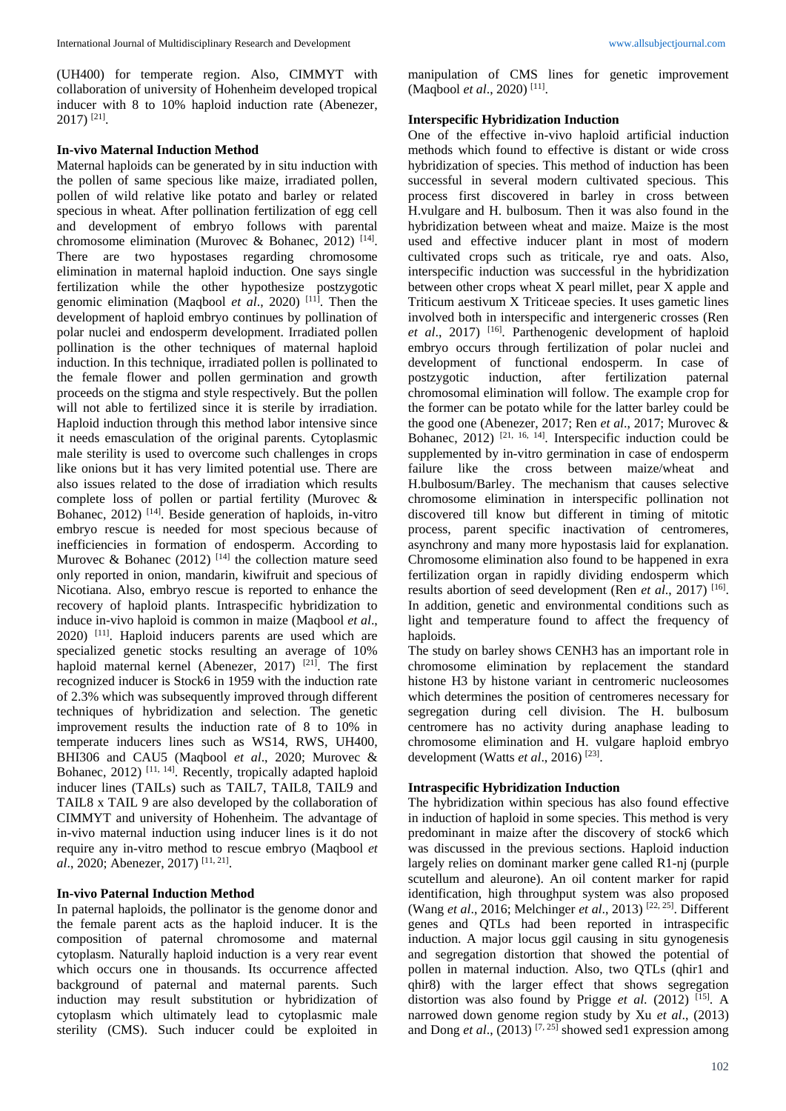(UH400) for temperate region. Also, CIMMYT with collaboration of university of Hohenheim developed tropical inducer with 8 to 10% haploid induction rate (Abenezer, 2017) [21] .

#### **In-vivo Maternal Induction Method**

Maternal haploids can be generated by in situ induction with the pollen of same specious like maize, irradiated pollen, pollen of wild relative like potato and barley or related specious in wheat. After pollination fertilization of egg cell and development of embryo follows with parental chromosome elimination (Murovec & Bohanec, 2012)<sup>[14]</sup>. There are two hypostases regarding chromosome elimination in maternal haploid induction. One says single fertilization while the other hypothesize postzygotic genomic elimination (Maqbool *et al*., 2020) [11]. Then the development of haploid embryo continues by pollination of polar nuclei and endosperm development. Irradiated pollen pollination is the other techniques of maternal haploid induction. In this technique, irradiated pollen is pollinated to the female flower and pollen germination and growth proceeds on the stigma and style respectively. But the pollen will not able to fertilized since it is sterile by irradiation. Haploid induction through this method labor intensive since it needs emasculation of the original parents. Cytoplasmic male sterility is used to overcome such challenges in crops like onions but it has very limited potential use. There are also issues related to the dose of irradiation which results complete loss of pollen or partial fertility (Murovec & Bohanec, 2012)<sup>[14]</sup>. Beside generation of haploids, in-vitro embryo rescue is needed for most specious because of inefficiencies in formation of endosperm. According to Murovec & Bohanec (2012) <sup>[14]</sup> the collection mature seed only reported in onion, mandarin, kiwifruit and specious of Nicotiana. Also, embryo rescue is reported to enhance the recovery of haploid plants. Intraspecific hybridization to induce in-vivo haploid is common in maize (Maqbool *et al*., 2020) [11]. Haploid inducers parents are used which are specialized genetic stocks resulting an average of 10% haploid maternal kernel (Abenezer, 2017) <sup>[21]</sup>. The first recognized inducer is Stock6 in 1959 with the induction rate of 2.3% which was subsequently improved through different techniques of hybridization and selection. The genetic improvement results the induction rate of 8 to 10% in temperate inducers lines such as WS14, RWS, UH400, BHI306 and CAU5 (Maqbool *et al*., 2020; Murovec & Bohanec, 2012) [11, 14]. Recently, tropically adapted haploid inducer lines (TAILs) such as TAIL7, TAIL8, TAIL9 and TAIL8 x TAIL 9 are also developed by the collaboration of CIMMYT and university of Hohenheim. The advantage of in-vivo maternal induction using inducer lines is it do not require any in-vitro method to rescue embryo (Maqbool *et al.*, 2020; Abenezer, 2017)<sup>[11, 21]</sup>.

### **In-vivo Paternal Induction Method**

In paternal haploids, the pollinator is the genome donor and the female parent acts as the haploid inducer. It is the composition of paternal chromosome and maternal cytoplasm. Naturally haploid induction is a very rear event which occurs one in thousands. Its occurrence affected background of paternal and maternal parents. Such induction may result substitution or hybridization of cytoplasm which ultimately lead to cytoplasmic male sterility (CMS). Such inducer could be exploited in

manipulation of CMS lines for genetic improvement (Maqbool *et al.*, 2020)<sup>[11]</sup>.

#### **Interspecific Hybridization Induction**

One of the effective in-vivo haploid artificial induction methods which found to effective is distant or wide cross hybridization of species. This method of induction has been successful in several modern cultivated specious. This process first discovered in barley in cross between H.vulgare and H. bulbosum. Then it was also found in the hybridization between wheat and maize. Maize is the most used and effective inducer plant in most of modern cultivated crops such as triticale, rye and oats. Also, interspecific induction was successful in the hybridization between other crops wheat X pearl millet, pear X apple and Triticum aestivum X Triticeae species. It uses gametic lines involved both in interspecific and intergeneric crosses (Ren et al., 2017)<sup>[16]</sup>. Parthenogenic development of haploid embryo occurs through fertilization of polar nuclei and development of functional endosperm. In case of postzygotic induction, after fertilization paternal chromosomal elimination will follow. The example crop for the former can be potato while for the latter barley could be the good one (Abenezer, 2017; Ren *et al*., 2017; Murovec & Bohanec,  $2012$ )<sup>[21, 16, 14]</sup>. Interspecific induction could be supplemented by in-vitro germination in case of endosperm failure like the cross between maize/wheat and H.bulbosum/Barley. The mechanism that causes selective chromosome elimination in interspecific pollination not discovered till know but different in timing of mitotic process, parent specific inactivation of centromeres, asynchrony and many more hypostasis laid for explanation. Chromosome elimination also found to be happened in exra fertilization organ in rapidly dividing endosperm which results abortion of seed development (Ren et al., 2017)<sup>[16]</sup>. In addition, genetic and environmental conditions such as light and temperature found to affect the frequency of haploids.

The study on barley shows CENH3 has an important role in chromosome elimination by replacement the standard histone H3 by histone variant in centromeric nucleosomes which determines the position of centromeres necessary for segregation during cell division. The H. bulbosum centromere has no activity during anaphase leading to chromosome elimination and H. vulgare haploid embryo development (Watts *et al.*, 2016)<sup>[23]</sup>.

### **Intraspecific Hybridization Induction**

The hybridization within specious has also found effective in induction of haploid in some species. This method is very predominant in maize after the discovery of stock6 which was discussed in the previous sections. Haploid induction largely relies on dominant marker gene called R1-nj (purple scutellum and aleurone). An oil content marker for rapid identification, high throughput system was also proposed (Wang *et al*., 2016; Melchinger *et al*., 2013) [22, 25]. Different genes and QTLs had been reported in intraspecific induction. A major locus ggil causing in situ gynogenesis and segregation distortion that showed the potential of pollen in maternal induction. Also, two QTLs (qhir1 and qhir8) with the larger effect that shows segregation distortion was also found by Prigge *et al*. (2012) [15]. A narrowed down genome region study by Xu *et al*., (2013) and Dong *et al*., (2013) [7, 25] showed sed1 expression among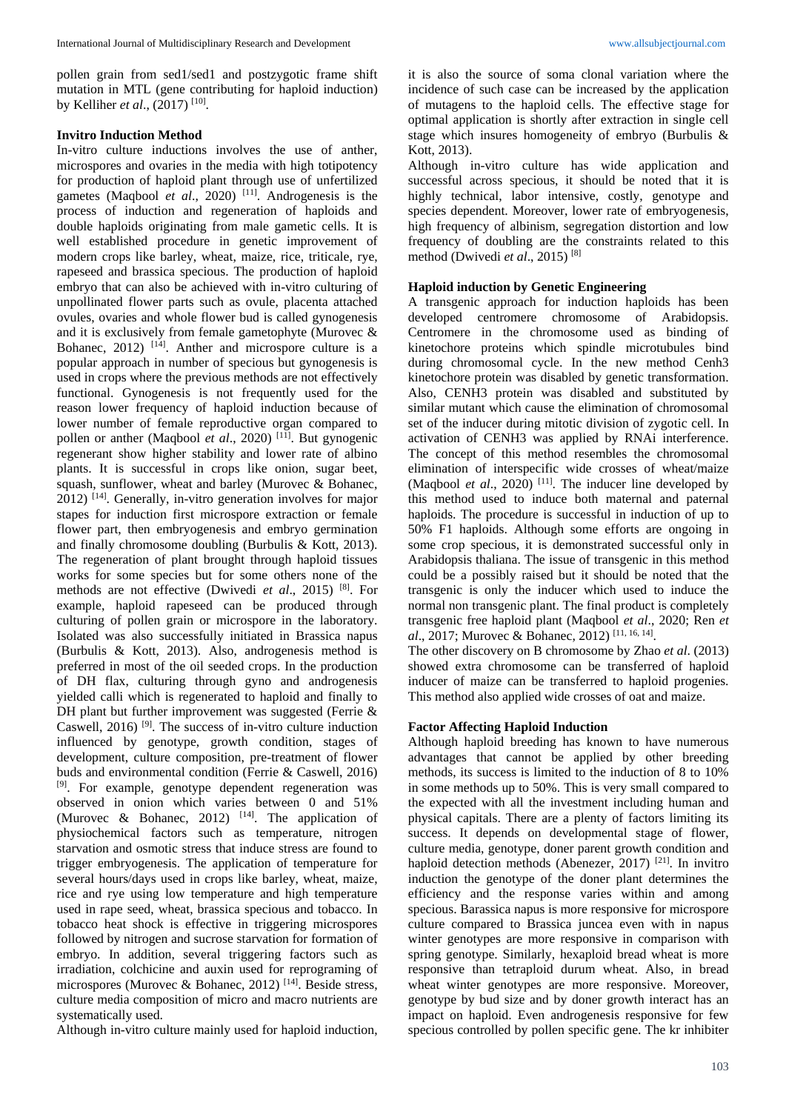pollen grain from sed1/sed1 and postzygotic frame shift mutation in MTL (gene contributing for haploid induction) by Kelliher *et al*., (2017) [10] .

#### **Invitro Induction Method**

In-vitro culture inductions involves the use of anther, microspores and ovaries in the media with high totipotency for production of haploid plant through use of unfertilized gametes (Maqbool *et al*., 2020) [11]. Androgenesis is the process of induction and regeneration of haploids and double haploids originating from male gametic cells. It is well established procedure in genetic improvement of modern crops like barley, wheat, maize, rice, triticale, rye, rapeseed and brassica specious. The production of haploid embryo that can also be achieved with in-vitro culturing of unpollinated flower parts such as ovule, placenta attached ovules, ovaries and whole flower bud is called gynogenesis and it is exclusively from female gametophyte (Murovec & Bohanec,  $2012$ )  $[14]$ . Anther and microspore culture is a popular approach in number of specious but gynogenesis is used in crops where the previous methods are not effectively functional. Gynogenesis is not frequently used for the reason lower frequency of haploid induction because of lower number of female reproductive organ compared to pollen or anther (Maqbool *et al.*, 2020)<sup>[11]</sup>. But gynogenic regenerant show higher stability and lower rate of albino plants. It is successful in crops like onion, sugar beet, squash, sunflower, wheat and barley (Murovec & Bohanec, 2012) [14] . Generally, in-vitro generation involves for major stapes for induction first microspore extraction or female flower part, then embryogenesis and embryo germination and finally chromosome doubling (Burbulis & Kott, 2013). The regeneration of plant brought through haploid tissues works for some species but for some others none of the methods are not effective (Dwivedi *et al*., 2015) [8]. For example, haploid rapeseed can be produced through culturing of pollen grain or microspore in the laboratory. Isolated was also successfully initiated in Brassica napus (Burbulis & Kott, 2013). Also, androgenesis method is preferred in most of the oil seeded crops. In the production of DH flax, culturing through gyno and androgenesis yielded calli which is regenerated to haploid and finally to DH plant but further improvement was suggested (Ferrie & Caswell,  $2016$ <sup>[9]</sup>. The success of in-vitro culture induction influenced by genotype, growth condition, stages of development, culture composition, pre-treatment of flower buds and environmental condition (Ferrie & Caswell, 2016) [9]. For example, genotype dependent regeneration was observed in onion which varies between 0 and 51% (Murovec & Bohanec, 2012)  $[14]$ . The application of physiochemical factors such as temperature, nitrogen starvation and osmotic stress that induce stress are found to trigger embryogenesis. The application of temperature for several hours/days used in crops like barley, wheat, maize, rice and rye using low temperature and high temperature used in rape seed, wheat, brassica specious and tobacco. In tobacco heat shock is effective in triggering microspores followed by nitrogen and sucrose starvation for formation of embryo. In addition, several triggering factors such as irradiation, colchicine and auxin used for reprograming of microspores (Murovec & Bohanec, 2012)<sup>[14]</sup>. Beside stress, culture media composition of micro and macro nutrients are systematically used.

Although in-vitro culture mainly used for haploid induction,

it is also the source of soma clonal variation where the incidence of such case can be increased by the application of mutagens to the haploid cells. The effective stage for optimal application is shortly after extraction in single cell stage which insures homogeneity of embryo (Burbulis & Kott, 2013).

Although in-vitro culture has wide application and successful across specious, it should be noted that it is highly technical, labor intensive, costly, genotype and species dependent. Moreover, lower rate of embryogenesis, high frequency of albinism, segregation distortion and low frequency of doubling are the constraints related to this method (Dwivedi *et al*., 2015) [8]

### **Haploid induction by Genetic Engineering**

A transgenic approach for induction haploids has been developed centromere chromosome of Arabidopsis. Centromere in the chromosome used as binding of kinetochore proteins which spindle microtubules bind during chromosomal cycle. In the new method Cenh3 kinetochore protein was disabled by genetic transformation. Also, CENH3 protein was disabled and substituted by similar mutant which cause the elimination of chromosomal set of the inducer during mitotic division of zygotic cell. In activation of CENH3 was applied by RNAi interference. The concept of this method resembles the chromosomal elimination of interspecific wide crosses of wheat/maize (Maqbool *et al.*, 2020)<sup>[11]</sup>. The inducer line developed by this method used to induce both maternal and paternal haploids. The procedure is successful in induction of up to 50% F1 haploids. Although some efforts are ongoing in some crop specious, it is demonstrated successful only in Arabidopsis thaliana. The issue of transgenic in this method could be a possibly raised but it should be noted that the transgenic is only the inducer which used to induce the normal non transgenic plant. The final product is completely transgenic free haploid plant (Maqbool *et al*., 2020; Ren *et al.*, 2017; Murovec & Bohanec, 2012)<sup>[11, 16, 14].</sup>

The other discovery on B chromosome by Zhao *et al*. (2013) showed extra chromosome can be transferred of haploid inducer of maize can be transferred to haploid progenies. This method also applied wide crosses of oat and maize.

### **Factor Affecting Haploid Induction**

Although haploid breeding has known to have numerous advantages that cannot be applied by other breeding methods, its success is limited to the induction of 8 to 10% in some methods up to 50%. This is very small compared to the expected with all the investment including human and physical capitals. There are a plenty of factors limiting its success. It depends on developmental stage of flower, culture media, genotype, doner parent growth condition and haploid detection methods (Abenezer, 2017)<sup>[21]</sup>. In invitro induction the genotype of the doner plant determines the efficiency and the response varies within and among specious. Barassica napus is more responsive for microspore culture compared to Brassica juncea even with in napus winter genotypes are more responsive in comparison with spring genotype. Similarly, hexaploid bread wheat is more responsive than tetraploid durum wheat. Also, in bread wheat winter genotypes are more responsive. Moreover, genotype by bud size and by doner growth interact has an impact on haploid. Even androgenesis responsive for few specious controlled by pollen specific gene. The kr inhibiter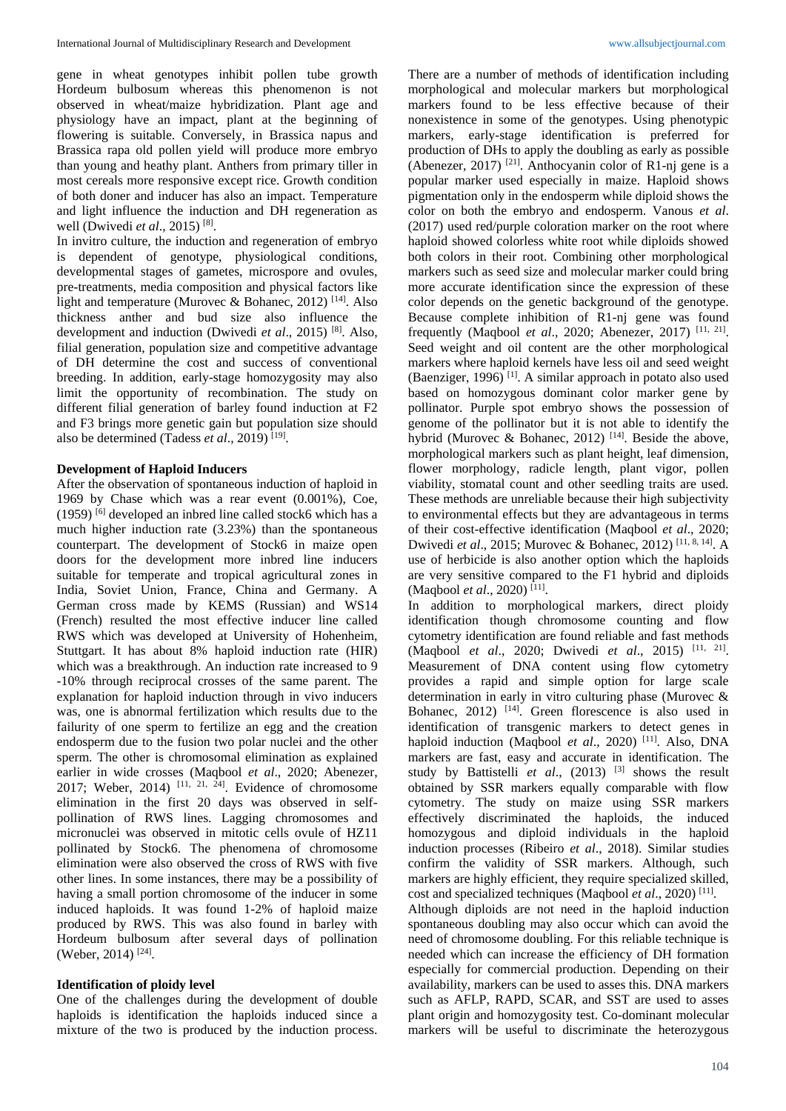gene in wheat genotypes inhibit pollen tube growth Hordeum bulbosum whereas this phenomenon is not observed in wheat/maize hybridization. Plant age and physiology have an impact, plant at the beginning of flowering is suitable. Conversely, in Brassica napus and Brassica rapa old pollen yield will produce more embryo than young and heathy plant. Anthers from primary tiller in most cereals more responsive except rice. Growth condition of both doner and inducer has also an impact. Temperature and light influence the induction and DH regeneration as well (Dwivedi *et al*., 2015) [8] .

In invitro culture, the induction and regeneration of embryo is dependent of genotype, physiological conditions, developmental stages of gametes, microspore and ovules, pre-treatments, media composition and physical factors like light and temperature (Murovec & Bohanec, 2012)<sup>[14]</sup>. Also thickness anther and bud size also influence the development and induction (Dwivedi *et al*., 2015) [8]. Also, filial generation, population size and competitive advantage of DH determine the cost and success of conventional breeding. In addition, early-stage homozygosity may also limit the opportunity of recombination. The study on different filial generation of barley found induction at F2 and F3 brings more genetic gain but population size should also be determined (Tadess *et al.*, 2019)<sup>[19]</sup>.

### **Development of Haploid Inducers**

After the observation of spontaneous induction of haploid in 1969 by Chase which was a rear event (0.001%), Coe,  $(1959)$ <sup>[6]</sup> developed an inbred line called stock6 which has a much higher induction rate (3.23%) than the spontaneous counterpart. The development of Stock6 in maize open doors for the development more inbred line inducers suitable for temperate and tropical agricultural zones in India, Soviet Union, France, China and Germany. A German cross made by KEMS (Russian) and WS14 (French) resulted the most effective inducer line called RWS which was developed at University of Hohenheim, Stuttgart. It has about 8% haploid induction rate (HIR) which was a breakthrough. An induction rate increased to 9 -10% through reciprocal crosses of the same parent. The explanation for haploid induction through in vivo inducers was, one is abnormal fertilization which results due to the failurity of one sperm to fertilize an egg and the creation endosperm due to the fusion two polar nuclei and the other sperm. The other is chromosomal elimination as explained earlier in wide crosses (Maqbool *et al*., 2020; Abenezer, 2017; Weber, 2014)  $[11, 21, 24]$ . Evidence of chromosome elimination in the first 20 days was observed in selfpollination of RWS lines. Lagging chromosomes and micronuclei was observed in mitotic cells ovule of HZ11 pollinated by Stock6. The phenomena of chromosome elimination were also observed the cross of RWS with five other lines. In some instances, there may be a possibility of having a small portion chromosome of the inducer in some induced haploids. It was found 1-2% of haploid maize produced by RWS. This was also found in barley with Hordeum bulbosum after several days of pollination (Weber, 2014)<sup>[24]</sup>.

### **Identification of ploidy level**

One of the challenges during the development of double haploids is identification the haploids induced since a mixture of the two is produced by the induction process.

There are a number of methods of identification including morphological and molecular markers but morphological markers found to be less effective because of their nonexistence in some of the genotypes. Using phenotypic markers, early-stage identification is preferred for production of DHs to apply the doubling as early as possible (Abenezer, 2017) [21]. Anthocyanin color of R1-nj gene is a popular marker used especially in maize. Haploid shows pigmentation only in the endosperm while diploid shows the color on both the embryo and endosperm. Vanous *et al*. (2017) used red/purple coloration marker on the root where haploid showed colorless white root while diploids showed both colors in their root. Combining other morphological markers such as seed size and molecular marker could bring more accurate identification since the expression of these color depends on the genetic background of the genotype. Because complete inhibition of R1-nj gene was found frequently (Maqbool *et al*., 2020; Abenezer, 2017) [11, 21] . Seed weight and oil content are the other morphological markers where haploid kernels have less oil and seed weight (Baenziger, 1996) [1] . A similar approach in potato also used based on homozygous dominant color marker gene by pollinator. Purple spot embryo shows the possession of genome of the pollinator but it is not able to identify the hybrid (Murovec & Bohanec, 2012)<sup>[14]</sup>. Beside the above, morphological markers such as plant height, leaf dimension, flower morphology, radicle length, plant vigor, pollen viability, stomatal count and other seedling traits are used. These methods are unreliable because their high subjectivity to environmental effects but they are advantageous in terms of their cost-effective identification (Maqbool *et al*., 2020; Dwivedi *et al*., 2015; Murovec & Bohanec, 2012) [11, 8, 14]. A use of herbicide is also another option which the haploids are very sensitive compared to the F1 hybrid and diploids (Maqbool *et al*., 2020) [11] .

In addition to morphological markers, direct ploidy identification though chromosome counting and flow cytometry identification are found reliable and fast methods (Maqbool *et al*., 2020; Dwivedi *et al*., 2015) [11, 21] . Measurement of DNA content using flow cytometry provides a rapid and simple option for large scale determination in early in vitro culturing phase (Murovec & Bohanec, 2012)<sup>[14]</sup>. Green florescence is also used in identification of transgenic markers to detect genes in haploid induction (Maqbool *et al.*, 2020)<sup>[11]</sup>. Also, DNA markers are fast, easy and accurate in identification. The study by Battistelli *et al.*, (2013)<sup>[3]</sup> shows the result obtained by SSR markers equally comparable with flow cytometry. The study on maize using SSR markers effectively discriminated the haploids, the induced homozygous and diploid individuals in the haploid induction processes (Ribeiro *et al*., 2018). Similar studies confirm the validity of SSR markers. Although, such markers are highly efficient, they require specialized skilled, cost and specialized techniques (Maqbool *et al.*, 2020)<sup>[11]</sup>.

Although diploids are not need in the haploid induction spontaneous doubling may also occur which can avoid the need of chromosome doubling. For this reliable technique is needed which can increase the efficiency of DH formation especially for commercial production. Depending on their availability, markers can be used to asses this. DNA markers such as AFLP, RAPD, SCAR, and SST are used to asses plant origin and homozygosity test. Co-dominant molecular markers will be useful to discriminate the heterozygous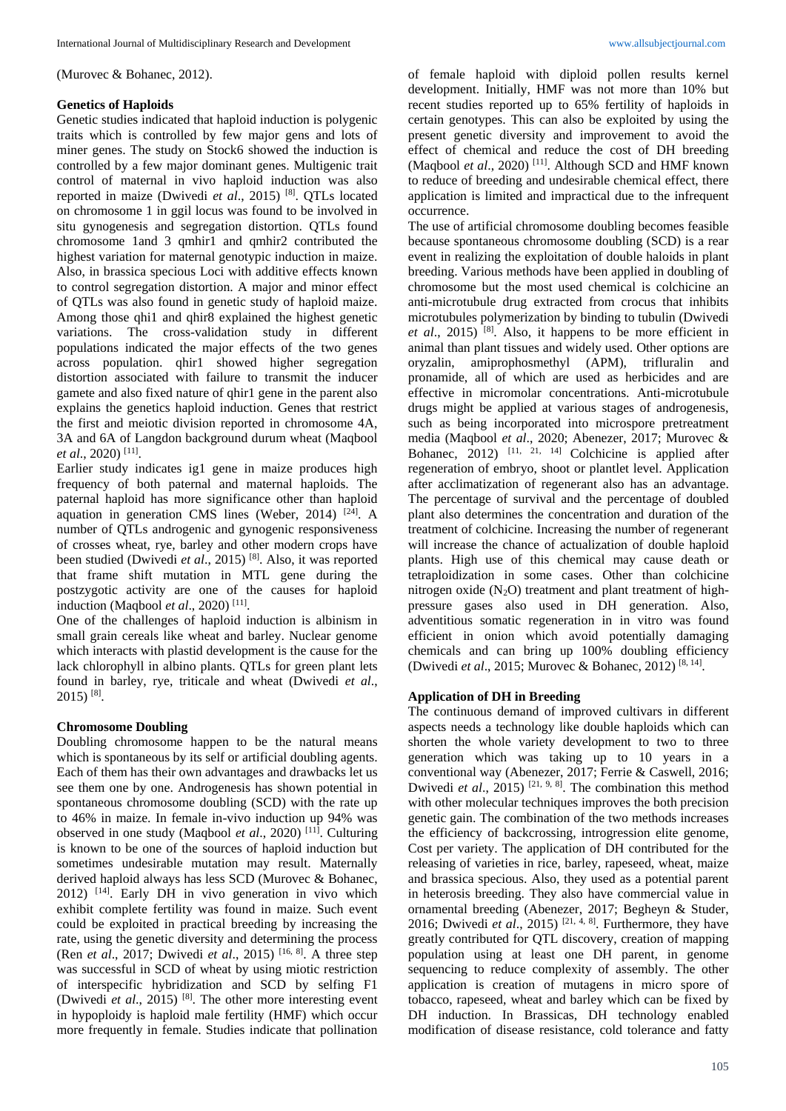(Murovec & Bohanec, 2012).

## **Genetics of Haploids**

Genetic studies indicated that haploid induction is polygenic traits which is controlled by few major gens and lots of miner genes. The study on Stock6 showed the induction is controlled by a few major dominant genes. Multigenic trait control of maternal in vivo haploid induction was also reported in maize (Dwivedi *et al*., 2015) [8]. QTLs located on chromosome 1 in ggil locus was found to be involved in situ gynogenesis and segregation distortion. QTLs found chromosome 1and 3 qmhir1 and qmhir2 contributed the highest variation for maternal genotypic induction in maize. Also, in brassica specious Loci with additive effects known to control segregation distortion. A major and minor effect of QTLs was also found in genetic study of haploid maize. Among those qhi1 and qhir8 explained the highest genetic variations. The cross-validation study in different populations indicated the major effects of the two genes across population. qhir1 showed higher segregation distortion associated with failure to transmit the inducer gamete and also fixed nature of qhir1 gene in the parent also explains the genetics haploid induction. Genes that restrict the first and meiotic division reported in chromosome 4A, 3A and 6A of Langdon background durum wheat (Maqbool *et al*., 2020) [11] .

Earlier study indicates ig1 gene in maize produces high frequency of both paternal and maternal haploids. The paternal haploid has more significance other than haploid aquation in generation CMS lines (Weber, 2014)  $[24]$ . A number of QTLs androgenic and gynogenic responsiveness of crosses wheat, rye, barley and other modern crops have been studied (Dwivedi *et al*., 2015) [8]. Also, it was reported that frame shift mutation in MTL gene during the postzygotic activity are one of the causes for haploid induction (Maqbool *et al*., 2020) [11] .

One of the challenges of haploid induction is albinism in small grain cereals like wheat and barley. Nuclear genome which interacts with plastid development is the cause for the lack chlorophyll in albino plants. QTLs for green plant lets found in barley, rye, triticale and wheat (Dwivedi *et al*.,  $2015$ ) <sup>[8]</sup>.

# **Chromosome Doubling**

Doubling chromosome happen to be the natural means which is spontaneous by its self or artificial doubling agents. Each of them has their own advantages and drawbacks let us see them one by one. Androgenesis has shown potential in spontaneous chromosome doubling (SCD) with the rate up to 46% in maize. In female in-vivo induction up 94% was observed in one study (Maqbool *et al*., 2020) [11]. Culturing is known to be one of the sources of haploid induction but sometimes undesirable mutation may result. Maternally derived haploid always has less SCD (Murovec & Bohanec, 2012) [14]. Early DH in vivo generation in vivo which exhibit complete fertility was found in maize. Such event could be exploited in practical breeding by increasing the rate, using the genetic diversity and determining the process (Ren *et al*., 2017; Dwivedi *et al*., 2015) [16, 8]. A three step was successful in SCD of wheat by using miotic restriction of interspecific hybridization and SCD by selfing F1 (Dwivedi *et al*., 2015) [8] . The other more interesting event in hypoploidy is haploid male fertility (HMF) which occur more frequently in female. Studies indicate that pollination

of female haploid with diploid pollen results kernel development. Initially, HMF was not more than 10% but recent studies reported up to 65% fertility of haploids in certain genotypes. This can also be exploited by using the present genetic diversity and improvement to avoid the effect of chemical and reduce the cost of DH breeding (Maqbool et al., 2020)<sup>[11]</sup>. Although SCD and HMF known to reduce of breeding and undesirable chemical effect, there application is limited and impractical due to the infrequent occurrence.

The use of artificial chromosome doubling becomes feasible because spontaneous chromosome doubling (SCD) is a rear event in realizing the exploitation of double haloids in plant breeding. Various methods have been applied in doubling of chromosome but the most used chemical is colchicine an anti-microtubule drug extracted from crocus that inhibits microtubules polymerization by binding to tubulin (Dwivedi *et al*., 2015) [8]. Also, it happens to be more efficient in animal than plant tissues and widely used. Other options are oryzalin, amiprophosmethyl (APM), trifluralin and pronamide, all of which are used as herbicides and are effective in micromolar concentrations. Anti-microtubule drugs might be applied at various stages of androgenesis, such as being incorporated into microspore pretreatment media (Maqbool *et al*., 2020; Abenezer, 2017; Murovec & Bohanec,  $2012$ )  $[11, 21, 14]$  Colchicine is applied after regeneration of embryo, shoot or plantlet level. Application after acclimatization of regenerant also has an advantage. The percentage of survival and the percentage of doubled plant also determines the concentration and duration of the treatment of colchicine. Increasing the number of regenerant will increase the chance of actualization of double haploid plants. High use of this chemical may cause death or tetraploidization in some cases. Other than colchicine nitrogen oxide  $(N_2O)$  treatment and plant treatment of highpressure gases also used in DH generation. Also, adventitious somatic regeneration in in vitro was found efficient in onion which avoid potentially damaging chemicals and can bring up 100% doubling efficiency (Dwivedi et al., 2015; Murovec & Bohanec, 2012)<sup>[8, 14]</sup>.

### **Application of DH in Breeding**

The continuous demand of improved cultivars in different aspects needs a technology like double haploids which can shorten the whole variety development to two to three generation which was taking up to 10 years in a conventional way (Abenezer, 2017; Ferrie & Caswell, 2016; Dwivedi *et al.*, 2015)<sup>[21, 9, 8]. The combination this method</sup> with other molecular techniques improves the both precision genetic gain. The combination of the two methods increases the efficiency of backcrossing, introgression elite genome, Cost per variety. The application of DH contributed for the releasing of varieties in rice, barley, rapeseed, wheat, maize and brassica specious. Also, they used as a potential parent in heterosis breeding. They also have commercial value in ornamental breeding (Abenezer, 2017; Begheyn & Studer, 2016; Dwivedi *et al.*, 2015)<sup>[21, 4, 8]. Furthermore, they have</sup> greatly contributed for QTL discovery, creation of mapping population using at least one DH parent, in genome sequencing to reduce complexity of assembly. The other application is creation of mutagens in micro spore of tobacco, rapeseed, wheat and barley which can be fixed by DH induction. In Brassicas, DH technology enabled modification of disease resistance, cold tolerance and fatty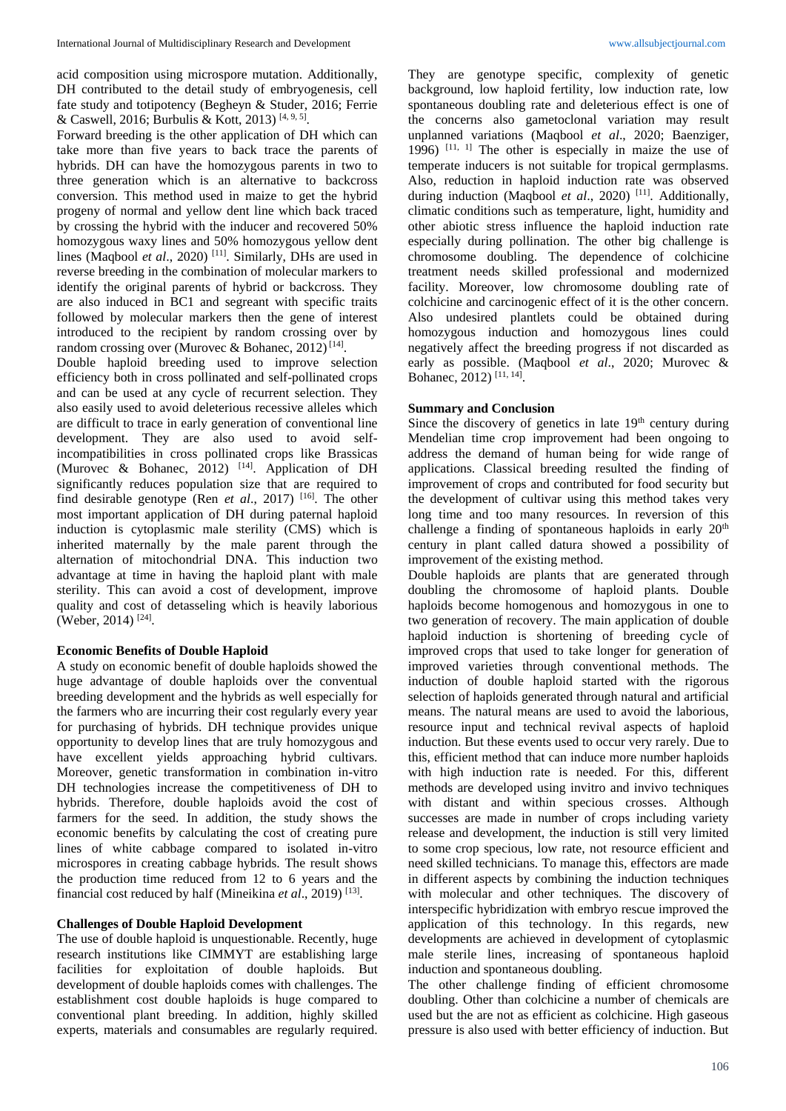acid composition using microspore mutation. Additionally, DH contributed to the detail study of embryogenesis, cell fate study and totipotency (Begheyn & Studer, 2016; Ferrie & Caswell, 2016; Burbulis & Kott, 2013)<sup>[4, 9, 5]</sup>.

Forward breeding is the other application of DH which can take more than five years to back trace the parents of hybrids. DH can have the homozygous parents in two to three generation which is an alternative to backcross conversion. This method used in maize to get the hybrid progeny of normal and yellow dent line which back traced by crossing the hybrid with the inducer and recovered 50% homozygous waxy lines and 50% homozygous yellow dent lines (Maqbool *et al.*, 2020)<sup>[11]</sup>. Similarly, DHs are used in reverse breeding in the combination of molecular markers to identify the original parents of hybrid or backcross. They are also induced in BC1 and segreant with specific traits followed by molecular markers then the gene of interest introduced to the recipient by random crossing over by random crossing over (Murovec & Bohanec, 2012)<sup>[14]</sup>.

Double haploid breeding used to improve selection efficiency both in cross pollinated and self-pollinated crops and can be used at any cycle of recurrent selection. They also easily used to avoid deleterious recessive alleles which are difficult to trace in early generation of conventional line development. They are also used to avoid selfincompatibilities in cross pollinated crops like Brassicas (Murovec & Bohanec,  $2012$ )<sup>[14]</sup>. Application of DH significantly reduces population size that are required to find desirable genotype (Ren *et al*., 2017) [16]. The other most important application of DH during paternal haploid induction is cytoplasmic male sterility (CMS) which is inherited maternally by the male parent through the alternation of mitochondrial DNA. This induction two advantage at time in having the haploid plant with male sterility. This can avoid a cost of development, improve quality and cost of detasseling which is heavily laborious (Weber, 2014) [24] .

### **Economic Benefits of Double Haploid**

A study on economic benefit of double haploids showed the huge advantage of double haploids over the conventual breeding development and the hybrids as well especially for the farmers who are incurring their cost regularly every year for purchasing of hybrids. DH technique provides unique opportunity to develop lines that are truly homozygous and have excellent yields approaching hybrid cultivars. Moreover, genetic transformation in combination in-vitro DH technologies increase the competitiveness of DH to hybrids. Therefore, double haploids avoid the cost of farmers for the seed. In addition, the study shows the economic benefits by calculating the cost of creating pure lines of white cabbage compared to isolated in-vitro microspores in creating cabbage hybrids. The result shows the production time reduced from 12 to 6 years and the financial cost reduced by half (Mineikina *et al.*, 2019)<sup>[13]</sup>.

### **Challenges of Double Haploid Development**

The use of double haploid is unquestionable. Recently, huge research institutions like CIMMYT are establishing large facilities for exploitation of double haploids. But development of double haploids comes with challenges. The establishment cost double haploids is huge compared to conventional plant breeding. In addition, highly skilled experts, materials and consumables are regularly required.

They are genotype specific, complexity of genetic background, low haploid fertility, low induction rate, low spontaneous doubling rate and deleterious effect is one of the concerns also gametoclonal variation may result unplanned variations (Maqbool *et al*., 2020; Baenziger, 1996)  $[11, 1]$  The other is especially in maize the use of temperate inducers is not suitable for tropical germplasms. Also, reduction in haploid induction rate was observed during induction (Maqbool *et al.*, 2020)<sup>[11]</sup>. Additionally, climatic conditions such as temperature, light, humidity and other abiotic stress influence the haploid induction rate especially during pollination. The other big challenge is chromosome doubling. The dependence of colchicine treatment needs skilled professional and modernized facility. Moreover, low chromosome doubling rate of colchicine and carcinogenic effect of it is the other concern. Also undesired plantlets could be obtained during homozygous induction and homozygous lines could negatively affect the breeding progress if not discarded as early as possible. (Maqbool *et al*., 2020; Murovec & Bohanec, 2012) [11, 14] .

### **Summary and Conclusion**

Since the discovery of genetics in late  $19<sup>th</sup>$  century during Mendelian time crop improvement had been ongoing to address the demand of human being for wide range of applications. Classical breeding resulted the finding of improvement of crops and contributed for food security but the development of cultivar using this method takes very long time and too many resources. In reversion of this challenge a finding of spontaneous haploids in early  $20<sup>th</sup>$ century in plant called datura showed a possibility of improvement of the existing method.

Double haploids are plants that are generated through doubling the chromosome of haploid plants. Double haploids become homogenous and homozygous in one to two generation of recovery. The main application of double haploid induction is shortening of breeding cycle of improved crops that used to take longer for generation of improved varieties through conventional methods. The induction of double haploid started with the rigorous selection of haploids generated through natural and artificial means. The natural means are used to avoid the laborious, resource input and technical revival aspects of haploid induction. But these events used to occur very rarely. Due to this, efficient method that can induce more number haploids with high induction rate is needed. For this, different methods are developed using invitro and invivo techniques with distant and within specious crosses. Although successes are made in number of crops including variety release and development, the induction is still very limited to some crop specious, low rate, not resource efficient and need skilled technicians. To manage this, effectors are made in different aspects by combining the induction techniques with molecular and other techniques. The discovery of interspecific hybridization with embryo rescue improved the application of this technology. In this regards, new developments are achieved in development of cytoplasmic male sterile lines, increasing of spontaneous haploid induction and spontaneous doubling.

The other challenge finding of efficient chromosome doubling. Other than colchicine a number of chemicals are used but the are not as efficient as colchicine. High gaseous pressure is also used with better efficiency of induction. But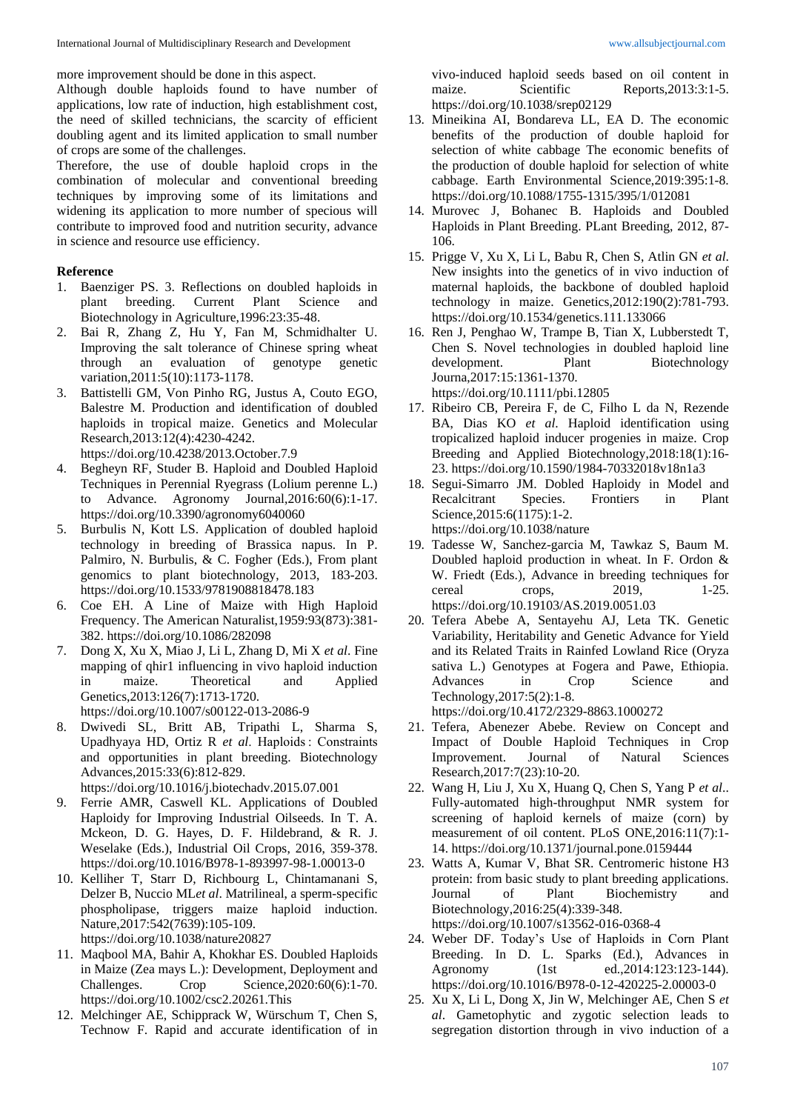more improvement should be done in this aspect.

Although double haploids found to have number of applications, low rate of induction, high establishment cost, the need of skilled technicians, the scarcity of efficient doubling agent and its limited application to small number of crops are some of the challenges.

Therefore, the use of double haploid crops in the combination of molecular and conventional breeding techniques by improving some of its limitations and widening its application to more number of specious will contribute to improved food and nutrition security, advance in science and resource use efficiency.

# **Reference**

- 1. Baenziger PS. 3. Reflections on doubled haploids in plant breeding. Current Plant Science and Biotechnology in Agriculture,1996:23:35-48.
- 2. Bai R, Zhang Z, Hu Y, Fan M, Schmidhalter U. Improving the salt tolerance of Chinese spring wheat through an evaluation of genotype genetic variation,2011:5(10):1173-1178.
- 3. Battistelli GM, Von Pinho RG, Justus A, Couto EGO, Balestre M. Production and identification of doubled haploids in tropical maize. Genetics and Molecular Research,2013:12(4):4230-4242. https://doi.org/10.4238/2013.October.7.9
- 4. Begheyn RF, Studer B. Haploid and Doubled Haploid Techniques in Perennial Ryegrass (Lolium perenne L.) to Advance. Agronomy Journal,2016:60(6):1-17. https://doi.org/10.3390/agronomy6040060
- 5. Burbulis N, Kott LS. Application of doubled haploid technology in breeding of Brassica napus. In P. Palmiro, N. Burbulis, & C. Fogher (Eds.), From plant genomics to plant biotechnology, 2013, 183-203. https://doi.org/10.1533/9781908818478.183
- 6. Coe EH. A Line of Maize with High Haploid Frequency. The American Naturalist,1959:93(873):381- 382. https://doi.org/10.1086/282098
- 7. Dong X, Xu X, Miao J, Li L, Zhang D, Mi X *et al*. Fine mapping of qhir1 influencing in vivo haploid induction in maize. Theoretical and Applied Genetics,2013:126(7):1713-1720. https://doi.org/10.1007/s00122-013-2086-9
- 8. Dwivedi SL, Britt AB, Tripathi L, Sharma S, Upadhyaya HD, Ortiz R *et al*. Haploids : Constraints and opportunities in plant breeding. Biotechnology Advances,2015:33(6):812-829.
- https://doi.org/10.1016/j.biotechadv.2015.07.001
- 9. Ferrie AMR, Caswell KL. Applications of Doubled Haploidy for Improving Industrial Oilseeds. In T. A. Mckeon, D. G. Hayes, D. F. Hildebrand, & R. J. Weselake (Eds.), Industrial Oil Crops, 2016, 359-378. https://doi.org/10.1016/B978-1-893997-98-1.00013-0
- 10. Kelliher T, Starr D, Richbourg L, Chintamanani S, Delzer B, Nuccio ML*et al*. Matrilineal, a sperm-specific phospholipase, triggers maize haploid induction. Nature,2017:542(7639):105-109. https://doi.org/10.1038/nature20827
- 11. Maqbool MA, Bahir A, Khokhar ES. Doubled Haploids in Maize (Zea mays L.): Development, Deployment and Challenges. Crop Science,2020:60(6):1-70. https://doi.org/10.1002/csc2.20261.This
- 12. Melchinger AE, Schipprack W, Würschum T, Chen S, Technow F. Rapid and accurate identification of in

vivo-induced haploid seeds based on oil content in maize. Scientific Reports, 2013:3:1-5. https://doi.org/10.1038/srep02129

- 13. Mineikina AI, Bondareva LL, EA D. The economic benefits of the production of double haploid for selection of white cabbage The economic benefits of the production of double haploid for selection of white cabbage. Earth Environmental Science,2019:395:1-8. https://doi.org/10.1088/1755-1315/395/1/012081
- 14. Murovec J, Bohanec B. Haploids and Doubled Haploids in Plant Breeding. PLant Breeding, 2012, 87- 106.
- 15. Prigge V, Xu X, Li L, Babu R, Chen S, Atlin GN *et al*. New insights into the genetics of in vivo induction of maternal haploids, the backbone of doubled haploid technology in maize. Genetics,2012:190(2):781-793. https://doi.org/10.1534/genetics.111.133066
- 16. Ren J, Penghao W, Trampe B, Tian X, Lubberstedt T, Chen S. Novel technologies in doubled haploid line development. Plant Biotechnology Journa,2017:15:1361-1370. https://doi.org/10.1111/pbi.12805
- 17. Ribeiro CB, Pereira F, de C, Filho L da N, Rezende BA, Dias KO *et al*. Haploid identification using tropicalized haploid inducer progenies in maize. Crop Breeding and Applied Biotechnology,2018:18(1):16- 23. https://doi.org/10.1590/1984-70332018v18n1a3
- 18. Segui-Simarro JM. Dobled Haploidy in Model and Recalcitrant Species. Frontiers in Plant Science,2015:6(1175):1-2. https://doi.org/10.1038/nature
- 19. Tadesse W, Sanchez-garcia M, Tawkaz S, Baum M. Doubled haploid production in wheat. In F. Ordon & W. Friedt (Eds.), Advance in breeding techniques for cereal crops, 2019, 1-25. https://doi.org/10.19103/AS.2019.0051.03
- 20. Tefera Abebe A, Sentayehu AJ, Leta TK. Genetic Variability, Heritability and Genetic Advance for Yield and its Related Traits in Rainfed Lowland Rice (Oryza sativa L.) Genotypes at Fogera and Pawe, Ethiopia. Advances in Crop Science and Technology,2017:5(2):1-8.

https://doi.org/10.4172/2329-8863.1000272

- 21. Tefera, Abenezer Abebe. Review on Concept and Impact of Double Haploid Techniques in Crop Improvement. Journal of Natural Sciences Research,2017:7(23):10-20.
- 22. Wang H, Liu J, Xu X, Huang Q, Chen S, Yang P *et al*.. Fully-automated high-throughput NMR system for screening of haploid kernels of maize (corn) by measurement of oil content. PLoS ONE,2016:11(7):1- 14. https://doi.org/10.1371/journal.pone.0159444
- 23. Watts A, Kumar V, Bhat SR. Centromeric histone H3 protein: from basic study to plant breeding applications. Journal of Plant Biochemistry and Biotechnology,2016:25(4):339-348. https://doi.org/10.1007/s13562-016-0368-4
- 24. Weber DF. Today's Use of Haploids in Corn Plant Breeding. In D. L. Sparks (Ed.), Advances in Agronomy (1st ed., 2014:123:123-144). https://doi.org/10.1016/B978-0-12-420225-2.00003-0
- 25. Xu X, Li L, Dong X, Jin W, Melchinger AE, Chen S *et al*. Gametophytic and zygotic selection leads to segregation distortion through in vivo induction of a